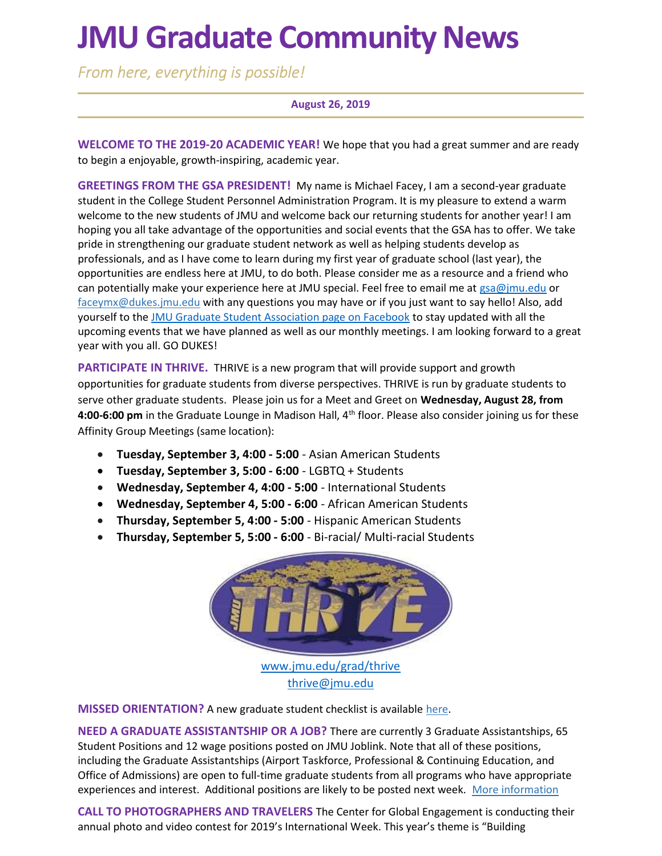# JMU Graduate Community News

From here, everything is possible!

#### August 26, 2019

WELCOME TO THE 2019-20 ACADEMIC YEAR! We hope that you had a great summer and are ready to begin a enjoyable, growth-inspiring, academic year.

GREETINGS FROM THE GSA PRESIDENT! My name is Michael Facey, I am a second-year graduate student in the College Student Personnel Administration Program. It is my pleasure to extend a warm welcome to the new students of JMU and welcome back our returning students for another year! I am hoping you all take advantage of the opportunities and social events that the GSA has to offer. We take pride in strengthening our graduate student network as well as helping students develop as professionals, and as I have come to learn during my first year of graduate school (last year), the opportunities are endless here at JMU, to do both. Please consider me as a resource and a friend who can potentially make your experience here at JMU special. Feel free to email me at  $\text{gsa@jmu.edu}$  or faceymx@dukes.jmu.edu with any questions you may have or if you just want to say hello! Also, add yourself to the JMU Graduate Student Association page on Facebook to stay updated with all the upcoming events that we have planned as well as our monthly meetings. I am looking forward to a great year with you all. GO DUKES!

PARTICIPATE IN THRIVE. THRIVE is a new program that will provide support and growth opportunities for graduate students from diverse perspectives. THRIVE is run by graduate students to serve other graduate students. Please join us for a Meet and Greet on Wednesday, August 28, from 4:00-6:00 pm in the Graduate Lounge in Madison Hall, 4<sup>th</sup> floor. Please also consider joining us for these Affinity Group Meetings (same location):

- Tuesday, September 3, 4:00 5:00 Asian American Students
- Tuesday, September 3, 5:00 6:00 LGBTQ + Students
- Wednesday, September 4, 4:00 5:00 International Students
- Wednesday, September 4, 5:00 6:00 African American Students
- Thursday, September 5, 4:00 5:00 Hispanic American Students
- Thursday, September 5, 5:00 6:00 Bi-racial/ Multi-racial Students



**MISSED ORIENTATION?** A new graduate student checklist is available here.

NEED A GRADUATE ASSISTANTSHIP OR A JOB? There are currently 3 Graduate Assistantships, 65 Student Positions and 12 wage positions posted on JMU Joblink. Note that all of these positions, including the Graduate Assistantships (Airport Taskforce, Professional & Continuing Education, and Office of Admissions) are open to full-time graduate students from all programs who have appropriate experiences and interest. Additional positions are likely to be posted next week. More information

CALL TO PHOTOGRAPHERS AND TRAVELERS The Center for Global Engagement is conducting their annual photo and video contest for 2019's International Week. This year's theme is "Building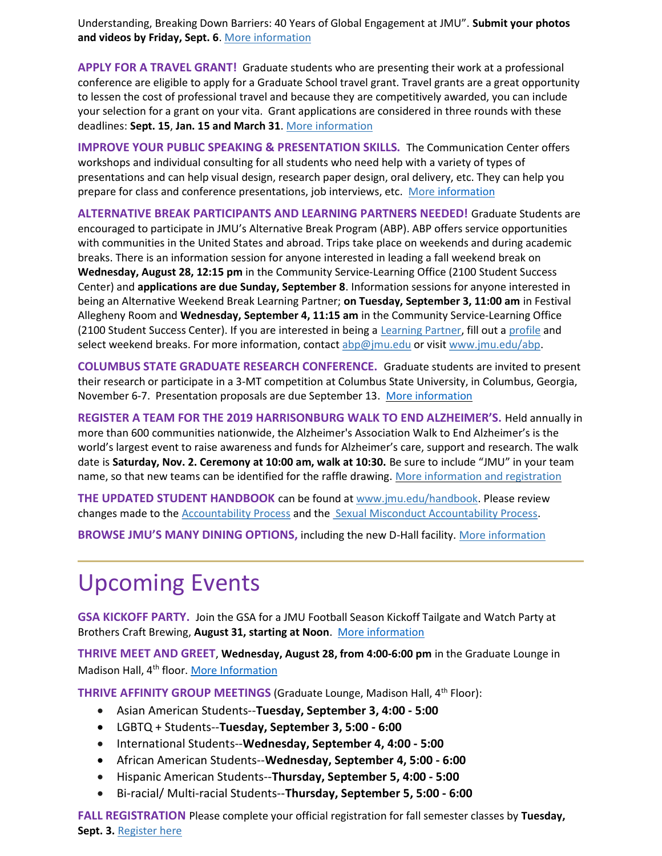Understanding, Breaking Down Barriers: 40 Years of Global Engagement at JMU". Submit your photos and videos by Friday, Sept. 6. More information

APPLY FOR A TRAVEL GRANT! Graduate students who are presenting their work at a professional conference are eligible to apply for a Graduate School travel grant. Travel grants are a great opportunity to lessen the cost of professional travel and because they are competitively awarded, you can include your selection for a grant on your vita. Grant applications are considered in three rounds with these deadlines: Sept. 15, Jan. 15 and March 31. More information

IMPROVE YOUR PUBLIC SPEAKING & PRESENTATION SKILLS. The Communication Center offers workshops and individual consulting for all students who need help with a variety of types of presentations and can help visual design, research paper design, oral delivery, etc. They can help you prepare for class and conference presentations, job interviews, etc. More information

ALTERNATIVE BREAK PARTICIPANTS AND LEARNING PARTNERS NEEDED! Graduate Students are encouraged to participate in JMU's Alternative Break Program (ABP). ABP offers service opportunities with communities in the United States and abroad. Trips take place on weekends and during academic breaks. There is an information session for anyone interested in leading a fall weekend break on Wednesday, August 28, 12:15 pm in the Community Service-Learning Office (2100 Student Success Center) and applications are due Sunday, September 8. Information sessions for anyone interested in being an Alternative Weekend Break Learning Partner; on Tuesday, September 3, 11:00 am in Festival Allegheny Room and Wednesday, September 4, 11:15 am in the Community Service-Learning Office (2100 Student Success Center). If you are interested in being a Learning Partner, fill out a profile and select weekend breaks. For more information, contact abp@jmu.edu or visit www.jmu.edu/abp.

COLUMBUS STATE GRADUATE RESEARCH CONFERENCE. Graduate students are invited to present their research or participate in a 3-MT competition at Columbus State University, in Columbus, Georgia, November 6-7. Presentation proposals are due September 13. More information

REGISTER A TEAM FOR THE 2019 HARRISONBURG WALK TO END ALZHEIMER'S. Held annually in more than 600 communities nationwide, the Alzheimer's Association Walk to End Alzheimer's is the world's largest event to raise awareness and funds for Alzheimer's care, support and research. The walk date is Saturday, Nov. 2. Ceremony at 10:00 am, walk at 10:30. Be sure to include "JMU" in your team name, so that new teams can be identified for the raffle drawing. More information and registration

THE UPDATED STUDENT HANDBOOK can be found at www.jmu.edu/handbook. Please review changes made to the Accountability Process and the Sexual Misconduct Accountability Process.

BROWSE JMU'S MANY DINING OPTIONS, including the new D-Hall facility. More information

# Upcoming Events

GSA KICKOFF PARTY. Join the GSA for a JMU Football Season Kickoff Tailgate and Watch Party at Brothers Craft Brewing, August 31, starting at Noon. More information

THRIVE MEET AND GREET, Wednesday, August 28, from 4:00-6:00 pm in the Graduate Lounge in Madison Hall, 4<sup>th</sup> floor. More Information

THRIVE AFFINITY GROUP MEETINGS (Graduate Lounge, Madison Hall, 4<sup>th</sup> Floor):

- Asian American Students--Tuesday, September 3, 4:00 5:00
- LGBTQ + Students--Tuesday, September 3, 5:00 6:00
- International Students--Wednesday, September 4, 4:00 5:00
- African American Students--Wednesday, September 4, 5:00 6:00
- Hispanic American Students--Thursday, September 5, 4:00 5:00
- Bi-racial/ Multi-racial Students--Thursday, September 5, 5:00 6:00

FALL REGISTRATION Please complete your official registration for fall semester classes by Tuesday, Sept. 3. Register here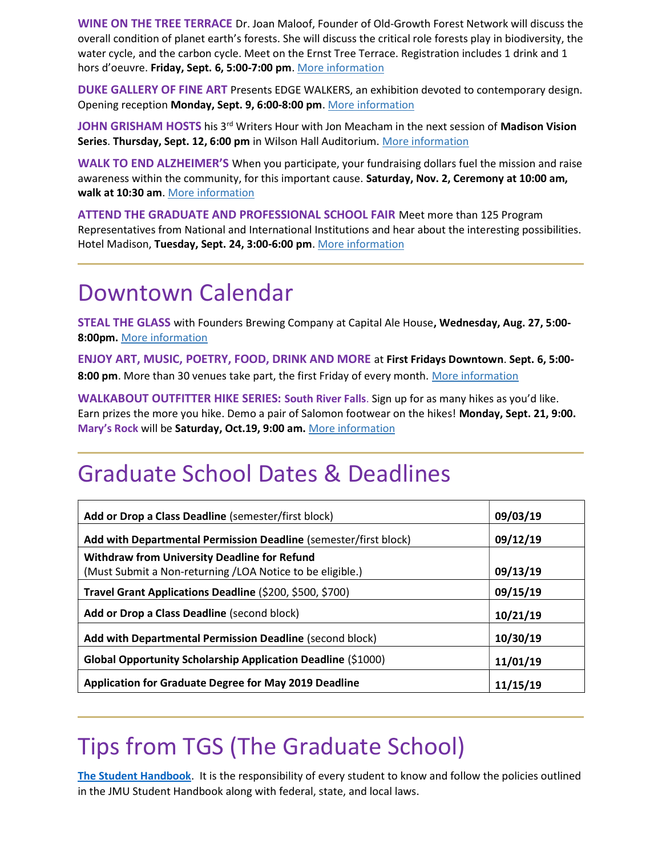WINE ON THE TREE TERRACE Dr. Joan Maloof, Founder of Old-Growth Forest Network will discuss the overall condition of planet earth's forests. She will discuss the critical role forests play in biodiversity, the water cycle, and the carbon cycle. Meet on the Ernst Tree Terrace. Registration includes 1 drink and 1 hors d'oeuvre. Friday, Sept. 6, 5:00-7:00 pm. More information

DUKE GALLERY OF FINE ART Presents EDGE WALKERS, an exhibition devoted to contemporary design. Opening reception Monday, Sept. 9, 6:00-8:00 pm. More information

JOHN GRISHAM HOSTS his 3<sup>rd</sup> Writers Hour with Jon Meacham in the next session of Madison Vision Series. Thursday, Sept. 12, 6:00 pm in Wilson Hall Auditorium. More information

WALK TO END ALZHEIMER'S When you participate, your fundraising dollars fuel the mission and raise awareness within the community, for this important cause. Saturday, Nov. 2, Ceremony at 10:00 am, walk at 10:30 am. More information

ATTEND THE GRADUATE AND PROFESSIONAL SCHOOL FAIR Meet more than 125 Program Representatives from National and International Institutions and hear about the interesting possibilities. Hotel Madison, Tuesday, Sept. 24, 3:00-6:00 pm. More information

### Downtown Calendar

STEAL THE GLASS with Founders Brewing Company at Capital Ale House, Wednesday, Aug. 27, 5:00- 8:00pm. More information

ENJOY ART, MUSIC, POETRY, FOOD, DRINK AND MORE at First Fridays Downtown. Sept. 6, 5:00- 8:00 pm. More than 30 venues take part, the first Friday of every month. More information

WALKABOUT OUTFITTER HIKE SERIES: South River Falls. Sign up for as many hikes as you'd like. Earn prizes the more you hike. Demo a pair of Salomon footwear on the hikes! Monday, Sept. 21, 9:00. Mary's Rock will be Saturday, Oct.19, 9:00 am. More information

### Graduate School Dates & Deadlines

| Add or Drop a Class Deadline (semester/first block)              | 09/03/19 |
|------------------------------------------------------------------|----------|
| Add with Departmental Permission Deadline (semester/first block) | 09/12/19 |
| <b>Withdraw from University Deadline for Refund</b>              |          |
| (Must Submit a Non-returning /LOA Notice to be eligible.)        | 09/13/19 |
| Travel Grant Applications Deadline (\$200, \$500, \$700)         | 09/15/19 |
| Add or Drop a Class Deadline (second block)                      | 10/21/19 |
| Add with Departmental Permission Deadline (second block)         | 10/30/19 |
| Global Opportunity Scholarship Application Deadline (\$1000)     | 11/01/19 |
| <b>Application for Graduate Degree for May 2019 Deadline</b>     | 11/15/19 |

## Tips from TGS (The Graduate School)

The Student Handbook. It is the responsibility of every student to know and follow the policies outlined in the JMU Student Handbook along with federal, state, and local laws.